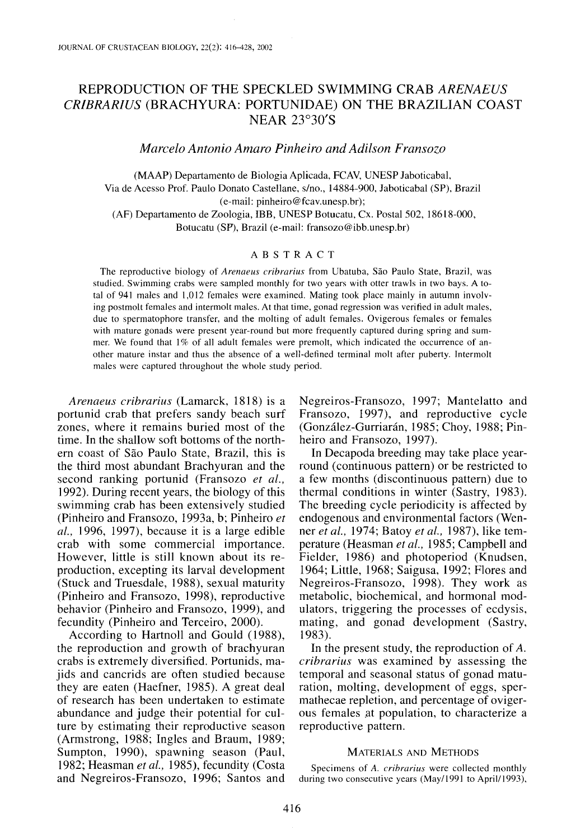# REPRODUCTION OF THE SPECKLED SWIMMING CRAB *ARENAEUS CRIBRARIUS* (BRACHYURA: PORTUNIDAE) ON THE BRAZILIAN COAST NEAR 23°30'S

*Marcelo Antonio Amaro Pinheiro and Adilson Fransozo*

(MAAP) Departamento de Biologia Aplicada, FCAV, UNESP laboticabal, Via de Acesso Prof. Paulo Donato Casteliane, *sino.,* 14884-900, laboticabal (SP), Brazil (e-mail: pinheiro@fcav.unesp.br); (AF) Departamento de Zoologia, IBB, UNESP Botucatu, Cx. Postal 502, 18618-000, Botucatu (SF), Brazil (e-mail: fransozo@ibb.unesp.br)

# ABSTRACT

The reproductive biology of *Arenaeus cribrarius* from Ubatuba, Sao Paulo State, Brazil, was studied. Swimming crabs were sampled monthly for two years with otter trawls in two bays. A total of 941 males and 1,012 females were examined. Mating took place mainly in autumn involving postmolt females and intermolt males. At that time, gonad regression was verified in adult males, due to spermatophore transfer, and the molting of adult females. Ovigerous females or females with mature gonads were present year-round but more frequently captured during spring and summer. We found that I% of all adult females were premolt, which indicated the occurrence of another mature instar and thus the absence of a well-defined terminal molt after puberty. Intermolt males were captured throughout the whole study period.

*Arenaeus cribrarius* (Lamarck, 1818) is a portunid crab that prefers sandy beach surf zones, where it remains buried most of the time. In the shallow soft bottoms of the northern coast of Sao Paulo State, Brazil, this is the third most abundant Brachyuran and the second ranking portunid (Fransozo *et ai.,* 1992). During recent years, the biology of this swimming crab has been extensively studied (Pinheiro and Fransozo, 1993a, b; Pinheiro *et ai.,* 1996, 1997), because it is a large edible crab with some commercial importance. However, little is still known about its reproduction, excepting its larval development (Stuck and Truesdale, 1988), sexual maturity (Pinheiro and Fransozo, 1998), reproductive behavior (Pinheiro and Fransozo, 1999), and fecundity (Pinheiro and Terceiro, 2000).

According to Hartnoll and Gould (1988), the reproduction and growth of brachyuran crabs is extremely diversified. Portunids, majids and cancrids are often studied because they are eaten (Haefner, 1985). A great deal of research has been undertaken to estimate abundance and judge their potential for culture by estimating their reproductive season (Armstrong, 1988; Ingles and Braum, 1989; Sumpton, 1990), spawning season (Paul, 1982; Heasman *et ai.,* 1985), fecundity (Costa and Negreiros-Fransozo, 1996; Santos and

Negreiros-Fransozo, 1997; Mantelatto and Fransozo, 1997), and reproductive cycle (González-Gurriarán, 1985; Choy, 1988; Pinheiro and Fransozo, 1997).

In Decapoda breeding may take place yearround (continuous pattern) or be restricted to a few months (discontinuous pattern) due to thermal conditions in winter (Sastry, 1983). The breeding cycle periodicity is affected by endogenous and environmental factors (Wenner *et ai.,* 1974; Batoy *et ai.,* 1987), like temperature (Heasman *et ai.,* 1985; Campbell and Fielder, 1986) and photoperiod (Knudsen, 1964; Little, 1968; Saigusa, 1992; Flores and Negreiros-Fransozo, 1998). They work as metabolic, biochemical, and hormonal modulators, triggering the processes of ecdysis, mating, and gonad development (Sastry, 1983).

In the present study, the reproduction of *A. cribrarius* was examined by assessing the temporal and seasonal status of gonad maturation, molting, development of eggs, spermathecae repletion, and percentage of ovigerous females at population, to characterize a reproductive pattern.

### MATERIALS AND METHODS

Specimens of *A. crihrarius* were collected monthly during two consecutive years (May/l991 to April/l993),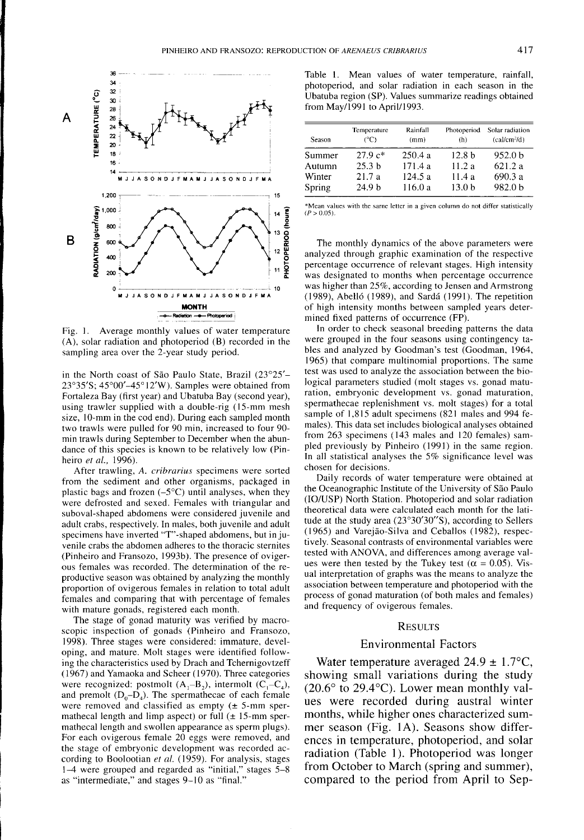

Fig. I. Average monthly values of water temperature (A), solar radiation and photoperiod (B) recorded in the sampling area over the 2-year study period.

in the North coast of Sao Paulo State, Brazil (23°25'- 23°35'S; 45°00'-45° 12'W). Samples were obtained from Fortaleza Bay (first year) and Ubatuba Bay (second year), using trawler supplied with a double-rig (15-mm mesh size, 10-mm in the cod end). During each sampled month two trawls were pulled for 90 min, increased to four 90 min trawls during September to December when the abundance of this species is known to be relatively low (Pinheiro *et al., 1996).*

After trawling, A. *cribrarius* specimens were sorted from the sediment and other organisms, packaged in plastic bags and frozen  $(-5^{\circ}C)$  until analyses, when they were defrosted and sexed. Females with triangular and suboval-shaped abdomens were considered juvenile and adult crabs, respectively. In males, both juvenile and adult specimens have inverted "T"-shaped abdomens, but in juvenile crabs the abdomen adheres to the thoracic sternites (Pinheiro and Fransozo, 1993b). The presence of ovigerous females was recorded. The determination of the reproductive season was obtained by analyzing the monthly proportion of ovigerous females in relation to total adult females and comparing that with percentage of females with mature gonads, registered each month.

The stage of gonad maturity was verified by macroscopic inspection of gonads (Pinheiro and Fransozo, 1998). Three stages were considered: immature, developing, and mature. Molt stages were identified following the characteristics used by Drach and Tchernigovtzeff (1967) and Yamaoka and Scheer (1970). Three categories were recognized: postmolt  $(A_1-B_2)$ , intermolt  $(C_1-C_4)$ , and premolt  $(D_0-D_4)$ . The spermathecae of each female were removed and classified as empty  $(\pm 5$ -mm spermathecal length and limp aspect) or full  $(\pm 15$ -mm spermathecal length and swollen appearance as sperm plugs). For each ovigerous female 20 eggs were removed, and the stage of embryonic development was recorded according to Boolootian *et al.* (1959). For analysis, stages 1-4 were grouped and regarded as "initial," stages 5-8 as "intermediate," and stages 9-10 as "final."

Table I. Mean values of water temperature, rainfall, photoperiod, and solar radiation in each season in the Ubatuba region (SP). Values summarize readings obtained from May/1991 to April/1993.

| Season | Temperature<br>$(^{\circ}C)$ | Rainfall<br>(mm) | Photoperiod<br>(h) | Solar radiation<br>(cal/cm <sup>2</sup> /d) |
|--------|------------------------------|------------------|--------------------|---------------------------------------------|
| Summer | $27.9c*$                     | 250.4a           | 12.8 <sub>b</sub>  | 952.0 b                                     |
| Autumn | 25.3 <sub>b</sub>            | 171.4a           | 11.2a              | 621.2a                                      |
| Winter | 21.7a                        | 124.5a           | 11.4 a             | 690.3 a                                     |
| Spring | 24.9 <sub>b</sub>            | 116.0 a          | 13.0 <sub>b</sub>  | 982.0 b                                     |

\*Mcan values with the same letter in a given column do not differ statistically  $(P>0.05)$ 

The monthly dynamics of the above parameters were analyzed through graphic examination of the respective percentage occurrence of relevant stages. High intensity was designated to months when percentage occurrence was higher than 25%, according to Jensen and Armstrong (1989), Abello (1989), and Sarda (1991). The repetition of high intensity months between sampled years determined fixed patterns of occurrence (FP).

In order to check seasonal breeding patterns the data were grouped in the four seasons using contingency tables and analyzed by Goodman's test (Goodman, 1964, 1965) that compare multinomial proportions. The same test was used to analyze the association between the biological parameters studied (molt stages vs. gonad maturation, embryonic development vs. gonad maturation, spermathecae replenishment vs. molt stages) for a total sample of 1,815 adult specimens (821 males and 994 females). This data set includes biological analyses obtained from 263 specimens (143 males and 120 females) sampled previously by Pinheiro (1991) in the same region. In all statistical analyses the 5% significance level was chosen for decisions.

Daily records of water temperature were obtained at the Oceanographic Institute of the University of São Paulo (IO/USP) North Station. Photoperiod and solar radiation theoretical data were calculated each month for the latitude at the study area (23°30'30"S), according to Sellers (1965) and Varejao-Silva and Ceballos (1982), respectively. Seasonal contrasts of environmental variables were tested with ANOVA, and differences among average values were then tested by the Tukey test ( $\alpha = 0.05$ ). Visual interpretation of graphs was the means to analyze the association between temperature and photoperiod with the process of gonad maturation (of both males and females) and frequency of ovigerous females.

#### RESULTS

#### Environmental Factors

Water temperature averaged  $24.9 \pm 1.7$ °C, showing small variations during the study  $(20.6^{\circ}$  to 29.4 $^{\circ}$ C). Lower mean monthly values were recorded during austral winter months, while higher ones characterized summer season (Fig. IA). Seasons show differences in temperature, photoperiod, and solar radiation (Table 1). Photoperiod was longer from October to March (spring and summer), compared to the period from April to Sep-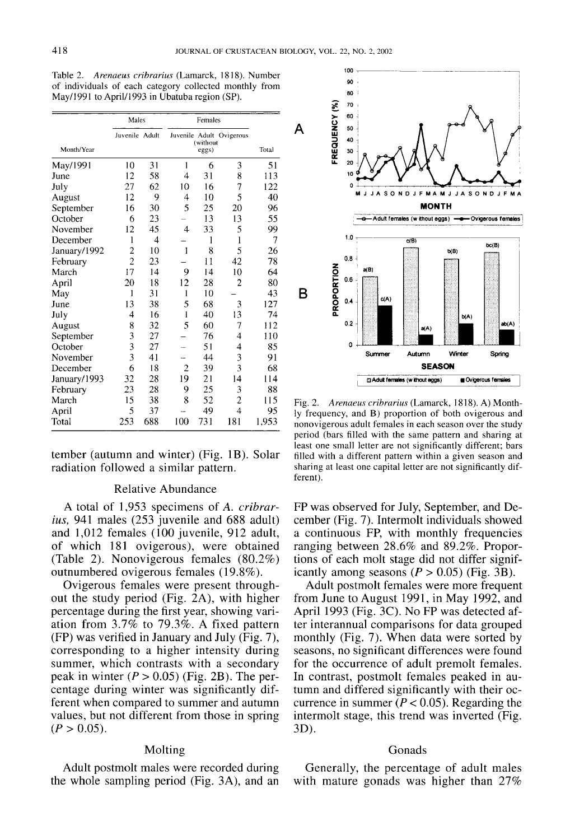| Table 2. Arenaeus cribrarius (Lamarck, 1818). Number   |  |  |  |
|--------------------------------------------------------|--|--|--|
| of individuals of each category collected monthly from |  |  |  |
| May/1991 to April/1993 in Ubatuba region (SP).         |  |  |  |

|              | Males                   |     |                | Females           |                          |       |  |
|--------------|-------------------------|-----|----------------|-------------------|--------------------------|-------|--|
| Month/Year   | Juvenile Adult          |     |                | (without<br>eggs) | Juvenile Adult Ovigerous | Total |  |
| May/1991     | 10                      | 31  | 1              | 6                 | 3                        | 51    |  |
| June         | 12                      | 58  | 4              | 31                | 8                        | 113   |  |
| July         | 27                      | 62  | 10             | 16                | 7                        | 122   |  |
| August       | 12                      | 9   | 4              | 10                | 5                        | 40    |  |
| September    | 16                      | 30  | 5              | 25                | 20                       | 96    |  |
| October      | 6                       | 23  |                | 13                | 13                       | 55    |  |
| November     | 12                      | 45  | 4              | 33                | 5                        | 99    |  |
| December     | 1                       | 4   |                | 1                 | 1                        | 7     |  |
| January/1992 | $\overline{2}$          | 10  | 1              | 8                 | 5                        | 26    |  |
| February     | $\overline{c}$          | 23  |                | $\overline{11}$   | 42                       | 78    |  |
| March        | 17                      | 14  | 9              | 14                | 10                       | 64    |  |
| April        | 20                      | 18  | 12             | 28                | $\overline{c}$           | 80    |  |
| May          | ı                       | 31  | I              | 10                |                          | 43    |  |
| June         | 13                      | 38  | 5              | 68                | 3                        | 127   |  |
| July         | 4                       | 16  | 1              | 40                | 13                       | 74    |  |
| August       | 8                       | 32  | 5              | 60                | 7                        | 112   |  |
| September    | $\overline{\mathbf{3}}$ | 27  |                | 76                | 4                        | 110   |  |
| October      | 3                       | 27  |                | 51                | 4                        | 85    |  |
| November     | $\overline{\mathbf{3}}$ | 41  |                | 44                | 3                        | 91    |  |
| December     | 6                       | 18  | $\overline{c}$ | 39                | 3                        | 68    |  |
| January/1993 | 32                      | 28  | 19             | 21                | 14                       | 114   |  |
| February     | 23                      | 28  | 9              | 25                | 3                        | 88    |  |
| March        | 15                      | 38  | 8              | 52                | $\overline{c}$           | 115   |  |
| April        | 5                       | 37  |                | 49                | $\overline{4}$           | 95    |  |
| Total        | 253                     | 688 | 100            | 731               | 181                      | 1,953 |  |

tember (autumn and winter) (Fig. lB). Solar radiation followed a similar pattern.

## Relative Abundance

A total of 1,953 specimens of *A. cribrarius,* 941 males (253 juvenile and 688 adult) and 1,012 females (100 juvenile, 912 adult, of which 181 ovigerous), were obtained (Table 2). Nonovigerous females (80.2%) outnumbered ovigerous females (19.8%).

Ovigerous females were present throughout the study period (Fig. 2A), with higher percentage during the first year, showing variation from 3.7% to 79.3%. A fixed pattern (FP) was verified in January and July (Fig. 7), corresponding to a higher intensity during summer, which contrasts with a secondary peak in winter  $(P > 0.05)$  (Fig. 2B). The percentage during winter was significantly different when compared to summer and autumn values, but not different from those in spring  $(P > 0.05)$ .

### Molting

Adult postmolt males were recorded during the whole sampling period (Fig. 3A), and an



Fig. 2. *Arenaeus cribrarius* (Lamarck, 1818). A) Monthly frequency, and B) proportion of both ovigerous and nonovigerous adult females in each season over the study period (bars filled with the same pattern and sharing at least one small letter are not significantly different; bars filled with a different pattern within a given season and sharing at least one capital letter are not significantly different).

FP was observed for July, September, and December (Fig. 7). Intermolt individuals showed a continuous FP, with monthly frequencies ranging between 28.6% and 89.2%. Proportions of each molt stage did not differ significantly among seasons  $(P > 0.05)$  (Fig. 3B).

Adult postmolt females were more frequent from June to August 1991, in May 1992, and April 1993 (Fig. 3C). No FP was detected after interannual comparisons for data grouped monthly (Fig. 7). When data were sorted by seasons, no Significant differences were found for the occurrence of adult premolt females. In contrast, postmolt females peaked in autumn and differed significantly with their occurrence in summer ( $P < 0.05$ ). Regarding the intermolt stage, this trend was inverted (Fig. 3D).

## Gonads

Generally, the percentage of adult males with mature gonads was higher than 27%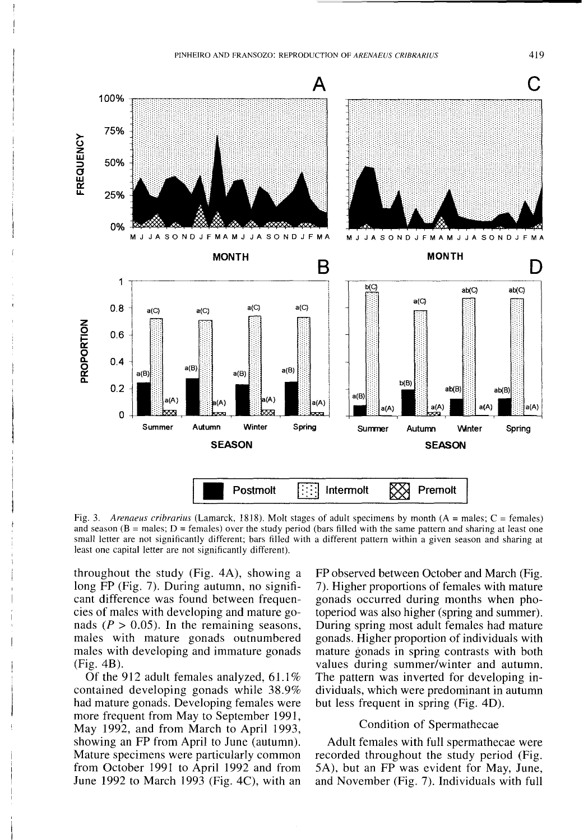

Fig. 3. *Arenaeus cribrarius* (Lamarck, 1818). Molt stages of adult specimens by month (A = males; C = females) and season ( $B$  = males;  $D$  = females) over the study period (bars filled with the same pattern and sharing at least one small letter are not significantly different; bars filled with a different pattern within a given season and sharing at least one capital letter are not significantly different).

throughout the study (Fig. 4A), showing a long FP (Fig. 7). During autumn, no significant difference was found between frequencies of males with developing and mature gonads ( $P > 0.05$ ). In the remaining seasons, males with mature gonads outnumbered males with developing and immature gonads (Fig. 4B).

Of the 912 adult females analyzed, 61.1% contained developing gonads while 38.9% had mature gonads. Developing females were more frequent from May to September 1991, May 1992, and from March to April 1993, showing an FP from April to June (autumn). Mature specimens were particularly common from October 1991 to April 1992 and from June 1992 to March 1993 (Fig. 4C), with an

FP observed between October and March (Fig. 7). Higher proportions of females with mature gonads occurred during months when photoperiod was also higher (spring and summer). During spring most adult females had mature gonads. Higher proportion of individuals with mature gonads in spring contrasts with both values during summer/winter and autumn. The pattern was inverted for developing individuals, which were predominant in autumn but less frequent in spring (Fig. 4D).

# Condition of Spermathecae

Adult females with full spermathecae were recorded throughout the study period (Fig. SA), but an FP was evident for May, June, and November (Fig. 7). Individuals with full

419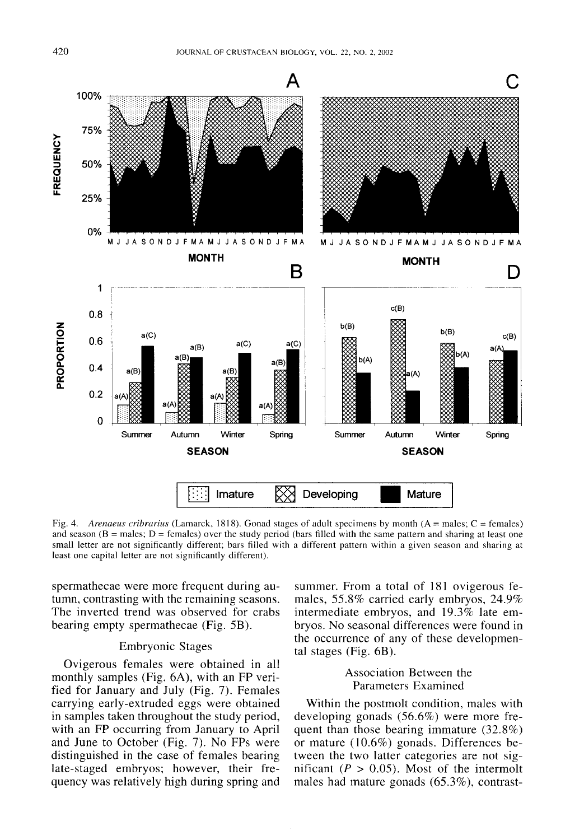

Fig. 4. *Arenaeus cribrarius* (Lamarck, 1818). Gonad stages of adult specimens by month (A = males; C = females) and season ( $B =$  males;  $D =$  females) over the study period (bars filled with the same pattern and sharing at least one small letter are not significantly different; bars filled with a different pattern within a given season and sharing at least one capital letter are not significantly different).

spermathecae were more frequent during autumn, contrasting with the remaining seasons. The inverted trend was observed for crabs bearing empty spermathecae (Fig. 5B).

### Embryonic Stages

Ovigerous females were obtained in all monthly samples (Fig. 6A), with an FP verified for January and July (Fig. 7). Females carrying early-extruded eggs were obtained in samples taken throughout the study period, with an FP occurring from January to April and June to October (Fig. 7). No FPs were distinguished in the case of females bearing late-staged embryos; however, their frequency was relatively high during spring and summer. From a total of 181 ovigerous females, 55.8% carried early embryos, 24.9% intermediate embryos, and 19.3% late embryos. No seasonal differences were found in the occurrence of any of these developmental stages (Fig. 6B).

# Association Between the Parameters Examined

Within the postmolt condition, males with developing gonads (56.6%) were more frequent than those bearing immature (32.8%) or mature (10.6%) gonads. Differences between the two latter categories are not significant ( $P > 0.05$ ). Most of the intermolt males had mature gonads (65.3%), contrast-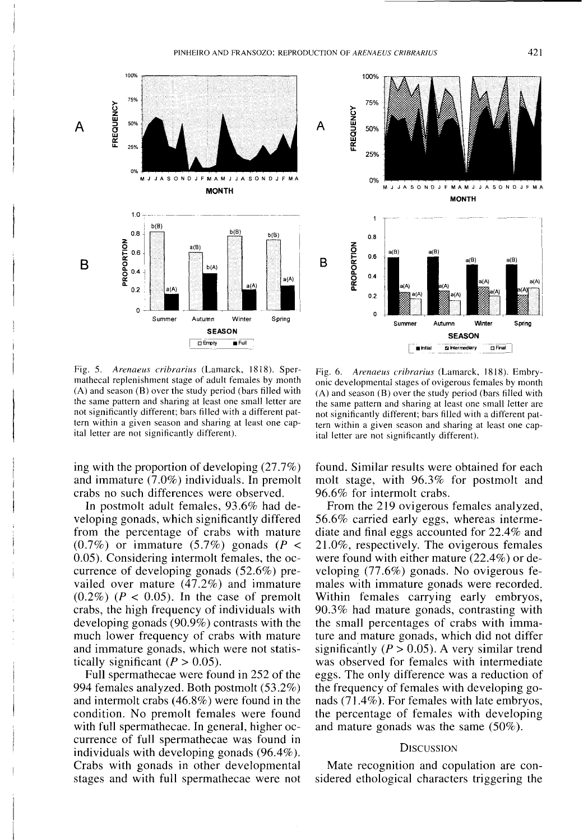

Fig. 5. Arenaeus cribrarius (Lamarck, 1818). Spermathecal replenishment stage of adult females by month (A) and season (B) over the study period (bars filled with the same pattern and sharing at least one small letter are not significantly different; bars filled with a different pattern within a given season and sharing at least one capital letter are not significantly different).

ing with the proportion of developing (27.7%) and immature (7.0%) individuals. In premolt crabs no such differences were observed.

In postmolt adult females, 93.6% had developing gonads, which significantly differed from the percentage of crabs with mature  $(0.7\%)$  or immature  $(5.7\%)$  gonads (P < 0.05). Considering intermolt females, the occurrence of developing gonads (52.6%) prevailed over mature (47.2%) and immature  $(0.2\%)$  ( $P < 0.05$ ). In the case of premolt crabs, the high frequency of individuals with developing gonads (90.9%) contrasts with the much lower frequency of crabs with mature and immature gonads, which were not statistically significant ( $P > 0.05$ ).

Full spermathecae were found in 252 of the 994 females analyzed. Both postmolt (53.2%) and intermolt crabs (46.8%) were found in the condition. No premolt females were found with full spermathecae. In general, higher occurrence of full spermathecae was found in individuals with developing gonads (96.4%). Crabs with gonads in other developmental stages and with full spermathecae were not

Fig. 6. *Arenaeus eribrarius* (Lamarck, 1818). Embryonic developmental stages of ovigerous females by month (A) and season (B) over the study period (bars filled with the same pattern and sharing at least one small letter are not significantly different; bars filled with a different pattern within a given season and sharing at least one capital letter are not significantly different).

found. Similar results were obtained for each molt stage, with 96.3% for postmolt and 96.6% for intermolt crabs.

From the 219 ovigerous females analyzed, 56.6% carried early eggs, whereas intermediate and final eggs accounted for 22.4% and 21.0%, respectively. The ovigerous females were found with either mature (22.4%) or developing (77.6%) gonads. No ovigerous females with immature gonads were recorded. Within females carrying early embryos, 90.3% had mature gonads, contrasting with the small percentages of crabs with immature and mature gonads, which did not differ significantly ( $P > 0.05$ ). A very similar trend was observed for females with intermediate eggs. The only difference was a reduction of the frequency of females with developing gonads (71.4%). For females with late embryos, the percentage of females with developing and mature gonads was the same (50%).

### **DISCUSSION**

Mate recognition and copulation are considered ethological characters triggering the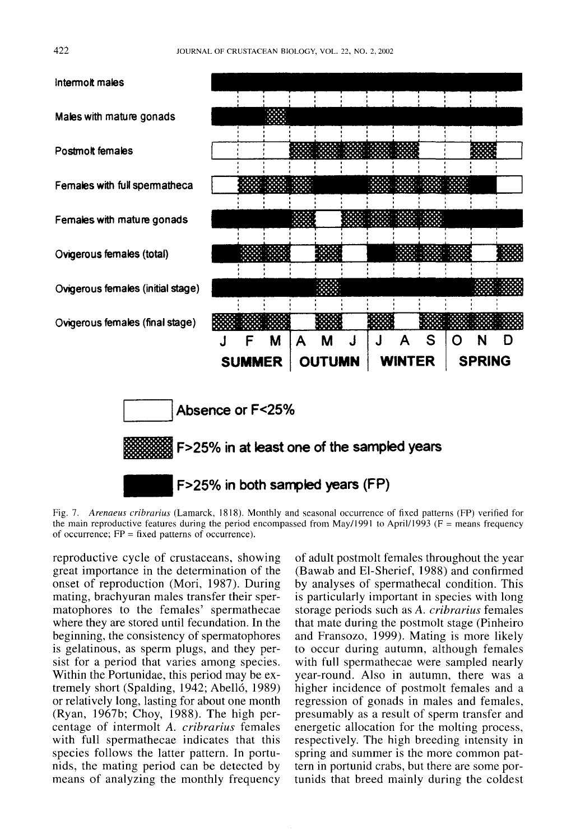

Fig. 7. *Arenaeus cribrarius* (Lamarck, 1818). Monthly and seasonal occurrence of fixed patterns (FP) verified for the main reproductive features during the period encompassed from May/1991 to April/1993 ( $F =$  means frequency of occurrence;  $FP = fixed$  patterns of occurrence).

reproductive cycle of crustaceans, showing great importance in the determination of the onset of reproduction (Mori, 1987). During mating, brachyuran males transfer their spermatophores to the females' spermathecae where they are stored until fecundation. In the beginning, the consistency of spermatophores is gelatinous, as sperm plugs, and they persist for a period that varies among species. Within the Portunidae, this period may be extremely short (Spalding, 1942; Abelló, 1989) or relatively long, lasting for about one month (Ryan, 1967b; Choy, 1988). The high percentage of intermolt *A. cribrarius* females with full spermathecae indicates that this species follows the latter pattern. In portunids, the mating period can be detected by means of analyzing the monthly frequency

of adult postmolt females throughout the year (Bawab and El-Sherief, 1988) and confirmed by analyses of spermathecal condition. This is particularly important in species with long storage periods such as *A. cribrarius* females that mate during the postmolt stage (Pinheiro and Fransozo, 1999). Mating is more likely to occur during autumn, although females with full spermathecae were sampled nearly year-round. Also in autumn, there was a higher incidence of postmolt females and a regression of gonads in males and females, presumably as a result of sperm transfer and energetic allocation for the molting process, respectively. The high breeding intensity in spring and summer is the more common pattern in portunid crabs, but there are some portunids that breed mainly during the coldest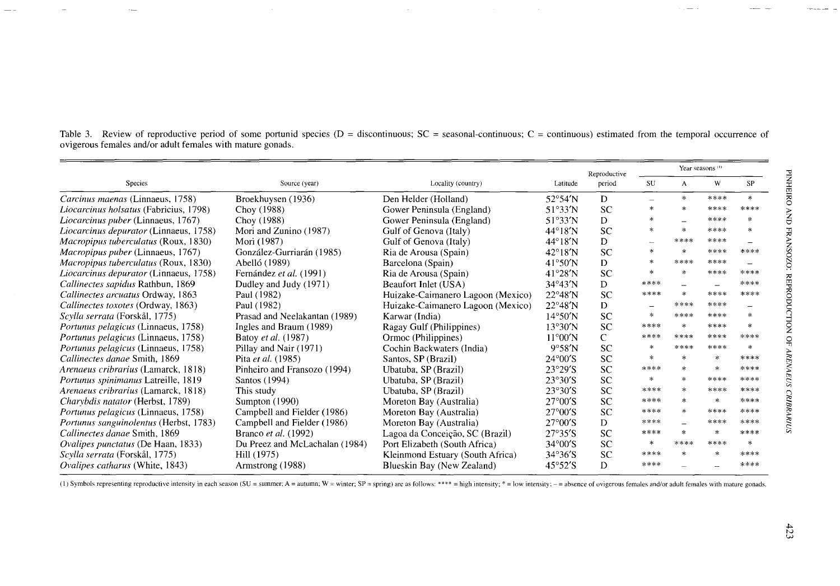|                                               |                                |                                   |                           | Reproductive | Year seasons <sup>(1)</sup> |              |              |               |
|-----------------------------------------------|--------------------------------|-----------------------------------|---------------------------|--------------|-----------------------------|--------------|--------------|---------------|
| <b>Species</b>                                | Source (year)                  | Locality (country)                | Latitude                  | period       | <b>SU</b>                   | $\mathbf{A}$ | W            | SP            |
| Carcinus maenas (Linnaeus, 1758)              | Broekhuysen (1936)             | Den Helder (Holland)              | $52^{\circ}54'$ N         | D            |                             | $\ast$       | ****         | $\ast$        |
| <i>Liocarcinus holsatus</i> (Fabricius, 1798) | Choy (1988)                    | Gower Peninsula (England)         | $51^\circ 33'$ N          | <b>SC</b>    | $\ast$                      |              | ****         | ****          |
| Liocarcinus puber (Linnaeus, 1767)            | Choy (1988)                    | Gower Peninsula (England)         | 51°33'N                   | D            |                             |              | ****         | sk.           |
| Liocarcinus depurator (Linnaeus, 1758)        | Mori and Zunino (1987)         | Gulf of Genova (Italy)            | $44^{\circ}18'$ N         | <b>SC</b>    | $\ast$                      |              | ****         | $\mathcal{R}$ |
| Macropipus tuberculatus (Roux, 1830)          | Mori (1987)                    | Gulf of Genova (Italy)            | $44^{\circ}18'$ N         | D            |                             | ****         | ****         |               |
| Macropipus puber (Linnaeus, 1767)             | González-Gurriarán (1985)      | Ria de Arousa (Spain)             | $42^{\circ}18'$ N         | <b>SC</b>    | $\mathcal{H}$               |              | ****         | ****          |
| <i>Macropipus tuberculatus (Roux, 1830)</i>   | Abelló (1989)                  | Barcelona (Spain)                 | $41^{\circ}50'$ N         | D            | 宋                           | ****         | ****         |               |
| Liocarcinus depurator (Linnaeus, 1758)        | Fernández et al. (1991)        | Ria de Arousa (Spain)             | $41^{\circ}28'$ N         | SC           | $\ast$                      |              | ****         | ****          |
| Callinectes sapidus Rathbun, 1869             | Dudley and Judy (1971)         | Beaufort Inlet (USA)              | $34^{\circ}43'$ N         | D            | ****                        |              |              | ****          |
| Callinectes arcuatus Ordway, 1863             | Paul (1982)                    | Huizake-Caimanero Lagoon (Mexico) | $22^{\circ}48'N$          | <b>SC</b>    | $***$ **                    | sk.          | ****         | ****          |
| Callinectes toxotes (Ordway, 1863)            | Paul (1982)                    | Huizake-Caimanero Lagoon (Mexico) | $22^{\circ}48'N$          | D            |                             | ****         | ****         |               |
| Scylla serrata (Forskål, 1775)                | Prasad and Neelakantan (1989)  | Karwar (India)                    | $14^{\circ}50'$ N         | <b>SC</b>    | 火                           | ****         | ****         | 宋             |
| Portunus pelagicus (Linnaeus, 1758)           | Ingles and Braum (1989)        | Ragay Gulf (Philippines)          | 13°30'N                   | <b>SC</b>    | ****                        | $\ast$       | ****         | *             |
| Portunus pelagicus (Linnaeus, 1758)           | Batoy et al. (1987)            | Ormoc (Philippines)               | $11^{\circ}00'$ N         | C            | ****                        | ****         | ****         | ****          |
| <i>Portunus pelagicus</i> (Linnaeus, 1758)    | Pillay and Nair (1971)         | Cochin Backwaters (India)         | 9°58'N                    | SC           | 冰                           | ****         | ****         | $\ast$        |
| Callinectes danae Smith, 1869                 | Pita et al. (1985)             | Santos, SP (Brazil)               | $24^{\circ}00^{\prime}S$  | <b>SC</b>    | $\star$                     |              | $\mathbf{x}$ | ****          |
| Arenaeus cribrarius (Lamarck, 1818)           | Pinheiro and Fransozo (1994)   | Ubatuba, SP (Brazil)              | 23°29'S                   | <b>SC</b>    | ****                        |              | ж            | ****          |
| Portunus spinimanus Latreille, 1819           | Santos (1994)                  | Ubatuba, SP (Brazil)              | 23°30'S                   | <b>SC</b>    | $\mathcal{M}$               |              | ****         | ****          |
| Arenaeus cribrarius (Lamarck, 1818)           | This study                     | Ubatuba, SP (Brazil)              | $23°30'$ S                | SC           | ****                        |              | ****         | ****          |
| Charybdis natator (Herbst, 1789)              | Sumpton (1990)                 | Moreton Bay (Australia)           | $27^{\circ}00^{\prime}$ S | SC           | ****                        |              | $\ast$       | ****          |
| Portunus pelagicus (Linnaeus, 1758)           | Campbell and Fielder (1986)    | Moreton Bay (Australia)           | $27^{\circ}00^{\prime}$ S | <b>SC</b>    | ****                        | ×.           | ****         | ****          |
| Portunus sanguinolentus (Herbst, 1783)        | Campbell and Fielder (1986)    | Moreton Bay (Australia)           | $27^{\circ}00^{\prime}$ S | D            | ****                        |              | ****         | ****          |
| Callinectes danae Smith, 1869                 | Branco et al. (1992)           | Lagoa da Conceição, SC (Brazil)   | 27°35'S                   | <b>SC</b>    | ****                        | $\mathbf{r}$ | $\mathbf{A}$ | ****          |
| Ovalipes punctatus (De Haan, 1833)            | Du Preez and McLachalan (1984) | Port Elizabeth (South Africa)     | $34^{\circ}00^{\prime}$ S | <b>SC</b>    | $\ast$                      | ****         | ****         | $\ast$        |
| Scylla serrata (Forskål, 1775)                | Hill (1975)                    | Kleinmond Estuary (South Africa)  | $34°36'$ S                | <b>SC</b>    | ****                        |              |              | ****          |
| Ovalipes catharus (White, 1843)               | Armstrong (1988)               | Blueskin Bay (New Zealand)        | $45^{\circ}52^{\prime}S$  | D            | ****                        |              |              | ****          |

Table 3. Review of reproductive period of some portunid species (D = discontinuous; SC = seasonal-continuous; C = continuous) estimated from the temporal occurrence of ovigerous females and/or adult females with mature gonads.

(1) Symbols representing reproductive intensity in each season (SU = summer; A = autumn; W = winter; SP = spring) are as follows: \*\*\*\* = high intensity; \* = low intensity; - = absence of ovigerous females and/or adult fema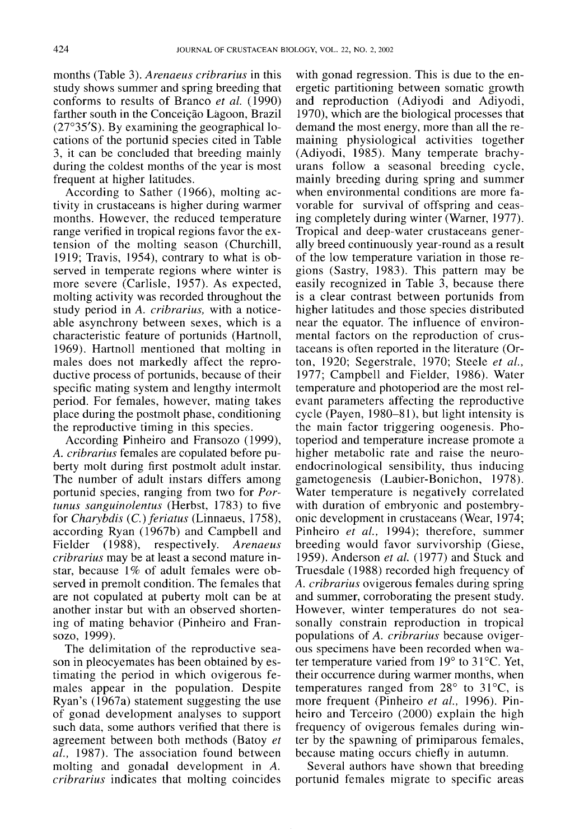months (Table 3). *Arenaeus cribrarius* in this study shows summer and spring breeding that conforms to results of Branco *et al.* (1990) farther south in the Conceição Lagoon, Brazil (27°35'S). By examining the geographical 10 cations of the portunid species cited in Table 3, it can be concluded that breeding mainly during the coldest months of the year is most frequent at higher latitudes.

According to Sather (1966), molting activity in crustaceans is higher during warmer months. However, the reduced temperature range verified in tropical regions favor the extension of the molting season (Churchill, 1919; Travis, 1954), contrary to what is observed in temperate regions where winter is more severe (Carlisle, 1957). As expected, molting activity was recorded throughout the study period in *A. cribrarius,* with a noticeable asynchrony between sexes, which is a characteristic feature of portunids (Hartnoll, 1969). Hartnoll mentioned that molting in males does not markedly affect the reproductive process of portunids, because of their specific mating system and lengthy intermolt period. For females, however, mating takes place during the postmolt phase, conditioning the reproductive timing in this species.

According Pinheiro and Fransozo (1999), *A. cribrarius* females are copulated before puberty molt during first postmolt adult instar. The number of adult instars differs among portunid species, ranging from two for *Portunus sanguinolentus* (Herbst, 1783) to five for *Charybdis* (C.) *feriatus* (Linnaeus, 1758), according Ryan (1967b) and Campbell and Fielder (1988), respectively. *Arenaeus cribrarius* may be at least a second mature instar, because 1% of adult females were observed in premolt condition. The females that are not copulated at puberty molt can be at another instar but with an observed shortening of mating behavior (Pinheiro and Fran-SOZO, 1999).

The delimitation of the reproductive season in pleocyemates has been obtained by estimating the period in which ovigerous females appear in the population. Despite Ryan's (1967a) statement suggesting the use of gonad development analyses to support such data, some authors verified that there is agreement between both methods (Batoy *et al.,* 1987). The association found between molting and gonadal development in *A. cribrarius* indicates that molting coincides

with gonad regression. This is due to the energetic partitioning between somatic growth and reproduction (Adiyodi and Adiyodi, 1970), which are the biological processes that demand the most energy, more than all the remaining physiological activities together (Adiyodi, 1985). Many temperate brachyurans follow a seasonal breeding cycle, mainly breeding during spring and summer when environmental conditions are more favorable for survival of offspring and ceasing completely during winter (Warner, 1977). Tropical and deep-water crustaceans generally breed continuously year-round as a result of the low temperature variation in those regions (Sastry, 1983). This pattern may be easily recognized in Table 3, because there is a clear contrast between portunids from higher latitudes and those species distributed near the equator. The influence of environmental factors on the reproduction of crustaceans is often reported in the literature (Orton, 1920; Segerstrale, 1970; Steele *et al.,* 1977; Campbell and Fielder, 1986). Water temperature and photoperiod are the most relevant parameters affecting the reproductive cycle (Payen, 1980-81), but light intensity is the main factor triggering oogenesis. Photoperiod and temperature increase promote a higher metabolic rate and raise the neuroendocrinological sensibility, thus inducing gametogenesis (Laubier-Bonichon, 1978). Water temperature is negatively correlated with duration of embryonic and postembryonic development in crustaceans (Wear, 1974; Pinheiro *et al.,* 1994); therefore, summer breeding would favor survivorship (Giese, 1959). Anderson *et al.* (1977) and Stuck and Truesdale (1988) recorded high frequency of *A. cribrarius* ovigerous females during spring and summer, corroborating the present study. However, winter temperatures do not seasonally constrain reproduction in tropical populations of *A. cribrarius* because ovigerous specimens have been recorded when water temperature varied from 19° to 31°C. Yet, their occurrence during warmer months, when temperatures ranged from  $28^{\circ}$  to  $31^{\circ}$ C, is more frequent (Pinheiro *et al.,* 1996). Pinheiro and Terceiro (2000) explain the high frequency of ovigerous females during winter by the spawning of primiparous females, because mating occurs chiefly in autumn.

Several authors have shown that breeding portunid females migrate to specific areas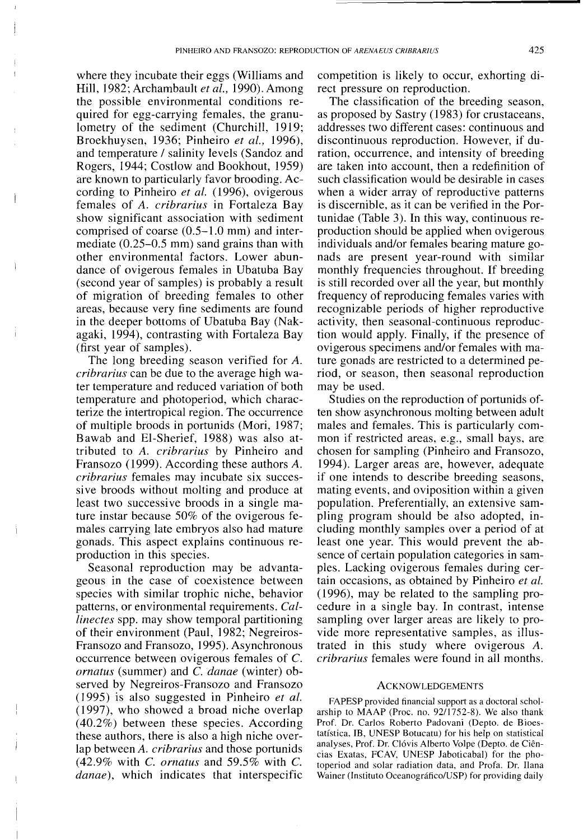where they incubate their eggs (Williams and Hill, 1982; Archambault *et ai.,* 1990). Among the possible environmental conditions required for egg-carrying females, the granulometry of the sediment (Churchill, 1919; Broekhuysen, 1936; Pinheiro *et ai., 1996),* and temperature / salinity levels (Sandoz and Rogers, 1944; Costlow and Bookhout, 1959) are known to particularly favor brooding. According to Pinheiro *et ai.* (1996), ovigerous females of *A. cribrarius* in Fortaleza Bay show significant association with sediment comprised of coarse (0.5-1.0 mm) and intermediate (0.25-0.5 mm) sand grains than with other environmental factors. Lower abundance of ovigerous females in Ubatuba Bay (second year of samples) is probably a result of migration of breeding females to other areas, because very fine sediments are found in the deeper bottoms of Ubatuba Bay (Nakagaki, 1994), contrasting with Fortaleza Bay (first year of samples).

The long breeding season verified for A. *cribrarius* can be due to the average high water temperature and reduced variation of both temperature and photoperiod, which characterize the intertropical region. The occurrence of multiple broods in portunids (Mori, 1987; Bawab and EI-Sherief, 1988) was also attributed to *A. cribrarius* by Pinheiro and Fransozo (1999). According these authors *A. cribrarius* females may incubate six successive broods without molting and produce at least two successive broods in a single mature instar because 50% of the ovigerous females carrying late embryos also had mature gonads. This aspect explains continuous reproduction in this species.

Seasonal reproduction may be advantageous in the case of coexistence between species with similar trophic niche, behavior patterns, or environmental requirements. *Caiiinectes* spp. may show temporal partitioning of their environment (Paul, 1982; Negreiros-Fransozo and Fransozo, 1995). Asynchronous occurrence between ovigerous females of C. *ornatus* (summer) and C. *danae* (winter) observed by Negreiros-Fransozo and Fransozo (1995) is also suggested in Pinheiro *et ai.* (1997), who showed a broad niche overlap (40.2%) between these species. According these authors, there is also a high niche overlap between *A. cribrarius* and those portunids (42.9% with C. *ornatus* and 59.5% with C. *danae),* which indicates that interspecific competition is likely to occur, exhorting direct pressure on reproduction.

The classification of the breeding season, as proposed by Sastry (1983) for crustaceans, addresses two different cases: continuous and discontinuous reproduction. However, if duration, occurrence, and intensity of breeding are taken into account, then a redefinition of such classification would be desirable in cases when a wider array of reproductive patterns is discernible, as it can be verified in the Portunidae (Table 3). In this way, continuous reproduction should be applied when ovigerous individuals and/or females bearing mature gonads are present year-round with similar monthly frequencies throughout. If breeding is still recorded over all the year, but monthly frequency of reproducing females varies with recognizable periods of higher reproductive activity, then seasonal-continuous reproduction would apply. Finally, if the presence of ovigerous specimens and/or females with mature gonads are restricted to a determined period, or season, then seasonal reproduction may be used.

Studies on the reproduction of portunids often show asynchronous molting between adult males and females. This is particularly common if restricted areas, e.g., small bays, are chosen for sampling (Pinheiro and Fransozo, 1994). Larger areas are, however, adequate if one intends to describe breeding seasons, mating events, and oviposition within a given population. Preferentially, an extensive sampling program should be also adopted, including monthly samples over a period of at least one year. This would prevent the absence of certain population categories in samples. Lacking ovigerous females during certain occasions, as obtained by Pinheiro *et al.* (1996), may be related to the sampling procedure in a single bay. In contrast, intense sampling over larger areas are likely to provide more representative samples, as illustrated in this study where ovigerous A. *cribrarius* females were found in all months.

#### ACKNOWLEDGEMENTS

FAPESP provided financial support as a doctoral scholarship to MAAP (Proc. no. 92/1752-8). We also thank Prof. Dr. Carlos Roberto Padovani (Depto. de Bioestatfstica, IB, UNESP Botucatu) for his help on statistical analyses, Prof. Dr. Cl6vis Alberto Volpe (Depto. de Ciencias Exatas, FCAV, UNESP Jaboticabal) for the photoperiod and solar radiation data, and Profa. Dr. Ilana Wainer (Instituto Oceanográfico/USP) for providing daily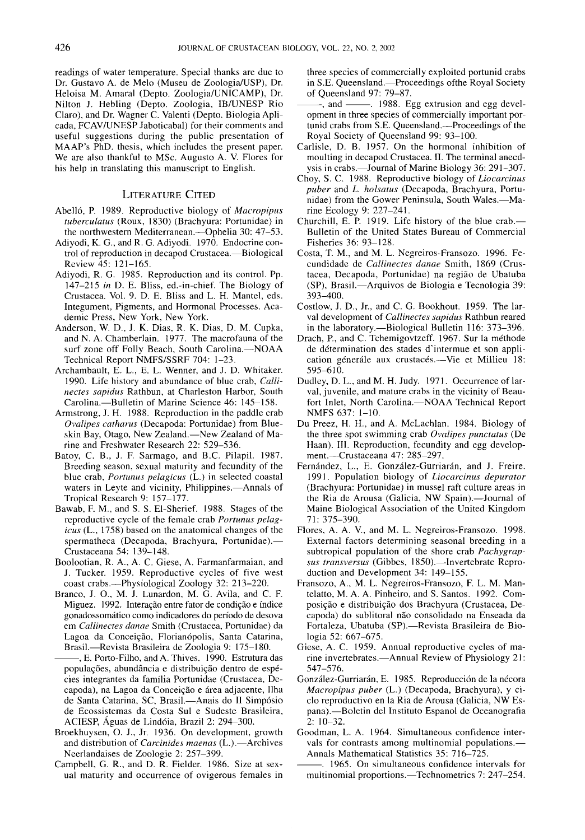readings of water temperature. Special thanks are due to Dr. Gustavo A. de Melo (Museu de Zoologia/USP), Dr. Heloisa M. Amaral (Depto. Zoologia/UNICAMP), Dr. Nilton J. Hebling (Depto. Zoologia, IB/UNESP Rio Claro), and Dr. Wagner C. Valenti (Depto. Biologia Aplicada, FCAV/UNESP Jaboticabal) for their comments and useful suggestions during the public presentation of MAAP's PhD. thesis, which includes the present paper. We are also thankful to MSc. Augusto A. V. Flores for his help in translating this manuscript to English.

#### LITERATURE CITED

- Abelló, P. 1989. Reproductive biology of *Macropipus tubereulatus* (Roux, 1830) (Brachyura: Portunidae) in the northwestern Mediterranean.—Ophelia 30: 47–53.
- Adiyodi, K. G., and R. G. Adiyodi. 1970. Endocrine control of reproduction in decapod Crustacea.-Biological Review 45: 121-165.
- Adiyodi, R. G. 1985. Reproduction and its control. Pp. *147-215 in* D. E. Bliss, ed.-in-chief. The Biology of Crustacea. Vol. 9. D. E. Bliss and L. H. Mantel, eds. Integument, Pigments, and Hormonal Processes. Academic Press, New York, New York.
- Anderson, W. D., J. K. Dias, R. K. Dias, D. M. Cupka, and N. A. Chamberlain. 1977. The macrofauna of the surf zone off Folly Beach, South Carolina.-NOAA Technical Report NMFS/SSRF 704: 1-23.
- Archambault, E. L., E. L. Wenner, and J. D. Whitaker. 1990. Life history and abundance of blue crab, *Callineetes sapidus* Rathbun, at Charleston Harbor, South Carolina.—Bulletin of Marine Science 46: 145-158.
- Armstrong, J. H. 1988. Reproduction in the paddle crab *Ovalipes eathurus* (Decapoda: Portunidae) from Blueskin Bay, Otago, New Zealand.-New Zealand of Marine and Freshwater Research 22: 529-536.
- Batoy, C. B., J. F. Sarmago, and B.C. Pilapil. 1987. Breeding season, sexual maturity and fecundity of the blue crab, *Portunus pelagieus* (L.) in selected coastal waters in Leyte and vicinity, Philippines.---Annals of Tropical Research 9: 157-177.
- Bawab, F. M., and S. S. EI-Sherief. 1988. Stages of the reproductive cycle of the female crab *Portunus pelagieus* (L., 1758) based on the anatomical changes of the spermatheca (Decapoda, Brachyura, Portunidae).-Crustaceana 54: 139-148.
- Boolootian, R. A., A. C. Giese, A. Farmanfarmaian, and J. Tucker. 1959. Reproductive cycles of five west coast crabs.-Physiological Zoology 32: 213-220.
- Branco, J. 0., M. J. Lunardon, M. G. Avila, and C. F. Miguez. 1992. Interação entre fator de condição e índice gonadossomatico como indicadores do perfodo de desova em *Callineetes danae* Smith (Crustacea, Portunidae) da Lagoa da Conceição, Florianópolis, Santa Catarina,
- Brasil.—Revista Brasileira de Zoologia 9: 175-180.<br>
-----, E. Porto-Filho, and A. Thives. 1990. Estrutura das populações, abundância e distribuição dentro de espécies integrantes da famflia Portunidae (Crustacea, Decapoda), na Lagoa da Conceição e área adjacente, Ilha de Santa Catarina, SC, Brasil.-Anais do II Simpósio de Ecossistemas da Costa Sui e Sudeste Brasileira, ACIESP, Aguas de Lindoia, Brazil 2: 294-300.
- Broekhuysen, O. J., Jr. 1936. On development, growth and distribution of *Carcinides maenas* (L.).-Archives Neerlandaises de Zoologie 2: 257-399.
- Campbell, G. R., and D. R. Fielder. 1986. Size at sexual maturity and occurrence of ovigerous females in

three species of commercially exploited portunid crabs in S.E. Queensland.—Proceedings of the Royal Society of Queensland 97: 79-87.

- -, and ———, 1988. Egg extrusion and egg development in three species of commercially important portunid crabs from S.E. Queensland.—Proceedings of the Royal Society of Queensland 99: 93-100.
- Carlisle, D. B. 1957. On the hormonal inhibition of moulting in decapod Crustacea. II. The terminal anecdysis in crabs.—Journal of Marine Biology 36: 291-307.
- Choy, S. C. 1988. Reproductive biology of *Lioeareinus puber* and *L. holsatus* (Decapoda, Brachyura, Portunidae) from the Gower Peninsula, South Wales.--Marine Ecology 9: 227-241.
- Churchill, E. P. 1919. Life history of the blue crab.-Bulletin of the United States Bureau of Commercial Fisheries 36: 93-128.
- Costa, T. M., and M. L. Negreiros-Fransozo. 1996. Fecundidade de *Callineetes danae* Smith, 1869 (Crustacea, Decapoda, Portunidae) na regiao de Ubatuba (SP), Brasi\.-Arquivos de Biologia e Tecnologia 39: 393-400.
- Costlow, J. D., Jr., and C. G. Bookhout. 1959. The larval development of *Callineetes sapidus* Rathbun reared in the laboratory.—Biological Bulletin 116: 373-396.
- Drach, P., and C. Tchemigovtzeff. 1967. Sur la méthode de determination des stades d'intermue et son application génerále aux crustacés.—Vie et Millieu 18: 595-610.
- Dudley, D. L., and M. H. Judy. 1971. Occurrence of larval, juvenile, and mature crabs in the vicinity of Beaufort Inlet, North Carolina.-NOAA Technical Report NMFS 637: 1-10.
- Du Preez, H. H., and A. McLachlan. 1984. Biology of the three spot swimming crab *Ovalipes punetatus* (De Haan). III. Reproduction, fecundity and egg development.-Crustaceana 47: 285-297.
- Fernández, L., E. González-Gurriarán, and J. Freire. 1991. Population biology of *Lioeareinus depurator* (Brachyura: Portunidae) in mussel raft culture areas in the Ria de Arousa (Galicia, NW Spain).-Journal of Maine Biological Association of the United Kingdom 71: 375-390.
- Flores, A. A. v., and M. L. Negreiros-Fransozo. 1998. External factors determining seasonal breeding in a subtropical population of the shore crab *Paehygrap*sus transversus (Gibbes, 1850).-Invertebrate Reproduction and Development 34: 149-155.
- Fransozo, A., M. L. Negreiros-Fransozo, F. L. M. Mantelatto, M. A. A. Pinheiro, and S. Santos. 1992. Composição e distribuição dos Brachyura (Crustacea, Decapoda) do sublitoral não consolidado na Enseada da Fortaleza, Ubatuba (SP).-Revista Brasileira de Biologia 52: 667-675.
- Giese, A. C. 1959. Annual reproductive cycles of marine invertebrates.—Annual Review of Physiology 21: 547-576.
- González-Gurriarán, E. 1985. Reproducción de la nécora *Maeropipus puber* (L.) (Decapoda, Brachyura), y cicio reproductivo en la Ria de Arousa (Galicia, NW Espana).- Boletin del Instituto Espanol de Oceanografia 2: 10-32.
- Goodman, L. A. 1964. Simultaneous confidence intervals for contrasts among multinomial populations.- Annals Mathematical Statistics 35: 716-725.
- --. 1965. On simultaneous confidence intervals for multinomial proportions.—Technometrics 7: 247-254.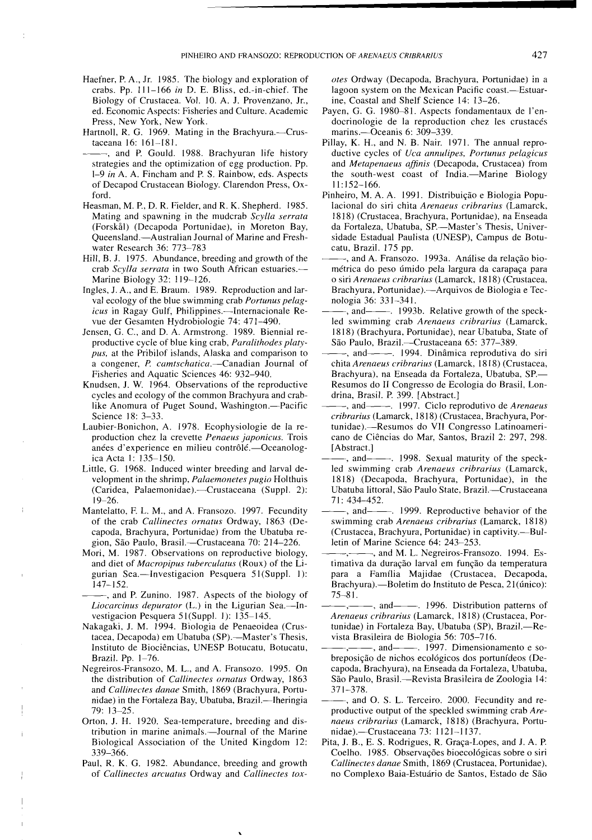- Haefner, P. A., Jr. 1985. The biology and exploration of crabs. Pp. 111-166 *in* D. E. Bliss, ed.-in-chief. The Biology of Crustacea. Vol. 10. A. J. Provenzano, Jr., ed. Economic Aspects: Fisheries and Culture. Academic Press, New York, New York.
- Hartnoll, R. G. 1969. Mating in the Brachyura.---Crustaceana 16: 161-181.
- ~~, and P. Gould. 1988. Brachyuran life history strategies and the optimization of egg production. Pp. *1-9 in* A. A. Fincham and P. S. Rainbow, eds. Aspects of Decapod Crustacean Biology. Clarendon Press, Oxford.
- Heasman, M. P., D. R. Fielder, and R. K. Shepherd. 1985. Mating and spawning in the mudcrab *Scylla serrata* (Forskål) (Decapoda Portunidae), in Moreton Bay, Queensland.-Australian Journal of Marine and Freshwater Research 36: 773-783
- Hill, B. J. 1975. Abundance, breeding and growth of the crab *Scylla serrata* in two South African estuaries.- Marine Biology 32: 119-126.
- Ingles, J. A., and E. Braum. 1989. Reproduction and larval ecology of the blue swimming crab *Portunus pelagicus* in Ragay Gulf, Philippines.--Internacionale Revue der Gesamten Hydrobiologie 74: 471-490.
- Jensen, G. C., and D. A. Armstrong. 1989. Biennial reproductive cycle of blue king crab, *Paralithodes platypus,* at the Pribilof islands, Alaska and comparison to a congener, *P carntschatica.-Canadian* Journal of Fisheries and Aquatic Sciences 46: 932-940.
- Knudsen, J. W. 1964. Observations of the reproductive cycles and ecology of the common Brachyura and crablike Anomura of Puget Sound, Washington.--Pacific Science 18: 3-33.
- Laubier-Bonichon, A. 1978. Ecophysiologie de Ia reproduction chez la crevette *Penaeus japonicus.* Trois anées d'experience en milieu contrôlé.-Oceanologica Acta I: 135-150.
- Little, G. 1968. Induced winter breeding and larval development in the shrimp, *Palaernonetes pugio* Holthuis (Caridea, Palaemonidae).--Crustaceana (Suppl. 2): 19-26.
- Mantelatto, F. L. M., and A. Fransozo. 1997. Fecundity of the crab *Callinectes ornatus* Ordway, 1863 (Decapoda, Brachyura, Portunidae) from the Ubatuba region, São Paulo, Brasil.—Crustaceana 70: 214-226.
- Mori, M. 1987. Observations on reproductive biology, and diet of *Macropipus tuberculatus* (Roux) of the Ligurian Sea.-Investigacion Pesquera 51(Suppl. 1): 147-152.
- ~~, and P. Zunino. 1987. Aspects of the biology of *Liocarcinus depurator* (L.) in the Ligurian Sea.-Investigacion Pesquera 51 (Suppl. 1): 135-145.
- Nakagaki, J. M. 1994. Biologia de Penaeoidea (Crustacea, Decapoda) em Ubatuba (SP).--Master's Thesis, Instituto de Biociências, UNESP Botucatu, Botucatu, Brazil. Pp. 1-76.
- Negreiros-Fransozo, M. L., and A. Fransozo. 1995. On the distribution of *Callinectes ornatus* Ordway, 1863 and *Callinectes danae* Smith, 1869 (Brachyura, Portunidae) in the Fortaleza Bay, Ubatuba, Brazil.—Iheringia 79: 13-25.
- Orton, J. H. 1920. Sea-temperature, breeding and distribution in marine animals.—Journal of the Marine Biological Association of the United Kingdom 12: 339-366.
- Paul, R. K. G. 1982. Abundance, breeding and growth of *Callinectes arcuatus* Ordway and *Callinectes tox-*

*otes* Ordway (Decapoda, Brachyura, Portunidae) in a lagoon system on the Mexican Pacific coast.-Estuarine, Coastal and Shelf Science 14: 13-26.

- Payen, G. G. 1980-81. Aspects fondamentaux de I'endocrinologie de la reproduction chez les crustacés marins.- Oceanis 6: 309-339.
- Pillay, K. H., and N. B. Nair. 1971. The annual reproductive cycles of *Uca annulipes, Portunus pelagicus* and *Metapenaeus affinis* (Decapoda, Crustacea) from the south-west coast of India.-Marine Biology II: 152-166.
- Pinheiro, M. A. A. 1991. Distribuição e Biologia Populacional do siri chita *Arenaeus cribrarius* (Lamarck, 1818) (Crustacea, Brachyura, Portunidae), na Enseada da Fortaleza, Ubatuba, SP.-Master's Thesis, Universidade Estadual Paulista (UNESP), Campus de Botucatu, Brazil. 175 pp.
- -, and A. Fransozo. 1993a. Análise da relação biométrica do peso úmido pela largura da carapaça para o siri *Arenaeus cribrarius* (Lamarck, 1818) (Crustacea, Brachyura, Portunidae).-Arquivos de Biologia e Tecnologia 36: 331-341.
- $-$ , and  $-$ . 1993b. Relative growth of the speckled swimming crab *Arenaeus cribrarius* (Lamarck, 1818) (Brachyura, Portunidae), near Ubatuba, State of São Paulo, Brazil.--Crustaceana 65: 377-389.
- -, and---- 1994. Dinâmica reprodutiva do siri chita *Arenaeus cribrarius* (Lamarck, 18 I8) (Crustacea, Brachyura), na Enseada da Fortaleza, Ubatuba, SP.-Resumos do II Congresso de Ecologia do Brasil, Londrina, Brasil. P. 399. [Abstract.]
- ~~, and~~. 1997. Cicio reprodutivo de *Arenaeus cribrarius* (Lamarck, 1818) (Crustacea, Brachyura, Portunidae).-Resumos do VII Congresso Latinoamericano de Ciencias do Mar, Santos, Brazil 2: 297, 298. [Abstract.]
- -, and- $\frac{1998}{ }$ . Sexual maturity of the speckled swimming crab *Arenaeus cribrarius* (Lamarck, 1818) (Decapoda, Brachyura, Portunidae), in the Ubatuba littoral, São Paulo State, Brazil.-Crustaceana 71: 434-452.
- ~~, and~~. 1999. Reproductive behavior of the swimming crab *Arenaeus cribrarius* (Lamarck, 1818) (Crustacea, Brachyura, Portunidae) in captivity.--Bulletin of Marine Science 64: 243-253.
- -,--, and M. L. Negreiros-Fransozo. 1994. Estimativa da duração larval em função da temperatura para a Famflia Majidae (Crustacea, Decapoda, Brachyura).—Boletim do Instituto de Pesca, 21(único): 75-81.
- -, and- $-$ . 1996. Distribution patterns of *Arenaeus cribrarius* (Lamarck, 1818) (Crustacea, Portunidae) in Fortaleza Bay, Ubatuba (SP), Brazil.---Revista Brasileira de Biologia 56: 705-716.
- -, and- $-$ , 1997. Dimensionamento e sobreposição de nichos ecológicos dos portunídeos (Decapoda, Brachyura), na Enseada da Fortaleza, Ubatuba, São Paulo, Brasil.-Revista Brasileira de Zoologia 14: 371-378.
- and O. S. L. Terceiro. 2000. Fecundity and reproductive output of the speckled swimming crab *Arenaeus cribrarius* (Lamarck, 1818) (Brachyura, Portunidae).-Crustaceana 73: 1121-1137.
- Pita, J. B., E. S. Rodrigues, R. Graça-Lopes, and J. A. P. Coelho. 1985. Observações bioecológicas sobre o siri *Callinectes danae* Smith, 1869 (Crustacea, Portunidae), no Complexo Baia-Estuario de Santos, Estado de Sao